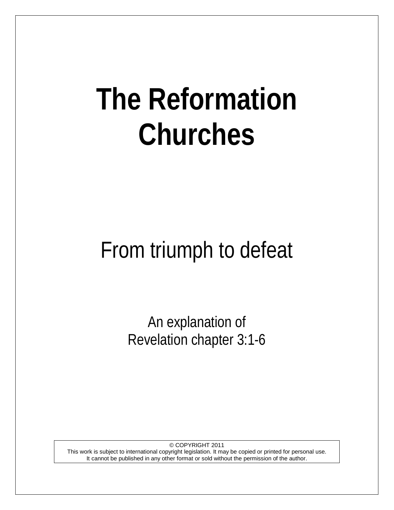# **The Reformation Churches**

## From triumph to defeat

An explanation of Revelation chapter 3:1-6

© COPYRIGHT 2011 This work is subject to international copyright legislation. It may be copied or printed for personal use. It cannot be published in any other format or sold without the permission of the author.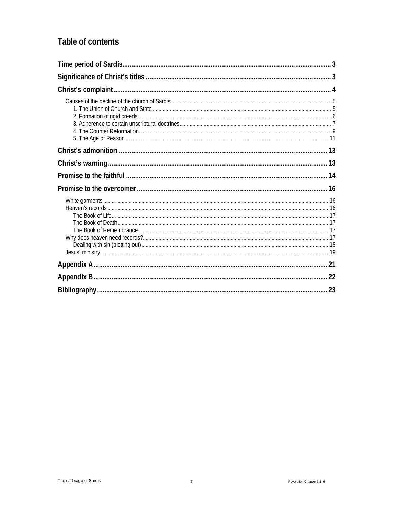## Table of contents

<span id="page-1-0"></span>

| 23 |
|----|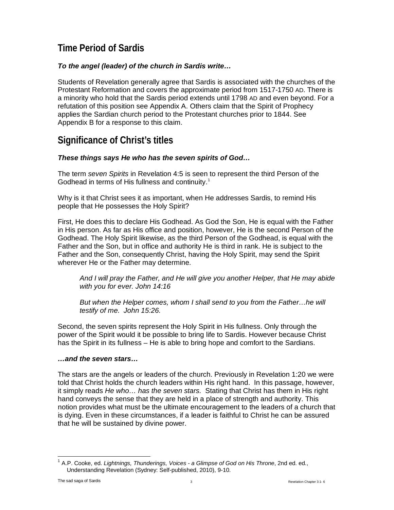## **Time Period of Sardis**

## *To the angel (leader) of the church in Sardis write…*

Students of Revelation generally agree that Sardis is associated with the churches of the Protestant Reformation and covers the approximate period from 1517-1750 AD. There is a minority who hold that the Sardis period extends until 1798 AD and even beyond. For a refutation of this position see Appendix A. Others claim that the Spirit of Prophecy applies the Sardian church period to the Protestant churches prior to 1844. See Appendix B for a response to this claim.

## <span id="page-2-0"></span>**Significance of Christ's titles**

## *These things says He who has the seven spirits of God…*

The term *seven Spirits* in Revelation 4:5 is seen to represent the third Person of the Godhead in terms of His fullness and continuity.<sup>[1](#page-2-1)</sup>

Why is it that Christ sees it as important, when He addresses Sardis, to remind His people that He possesses the Holy Spirit?

First, He does this to declare His Godhead. As God the Son, He is equal with the Father in His person. As far as His office and position, however, He is the second Person of the Godhead. The Holy Spirit likewise, as the third Person of the Godhead, is equal with the Father and the Son, but in office and authority He is third in rank. He is subject to the Father and the Son, consequently Christ, having the Holy Spirit, may send the Spirit wherever He or the Father may determine.

*And I will pray the Father, and He will give you another Helper, that He may abide with you for ever. John 14:16*

*But when the Helper comes, whom I shall send to you from the Father…he will testify of me. John 15:26.*

Second, the seven spirits represent the Holy Spirit in His fullness. Only through the power of the Spirit would it be possible to bring life to Sardis. However because Christ has the Spirit in its fullness – He is able to bring hope and comfort to the Sardians.

## *…and the seven stars…*

The stars are the angels or leaders of the church. Previously in Revelation 1:20 we were told that Christ holds the church leaders within His right hand. In this passage, however, it simply reads *He who… has the seven stars.* Stating that Christ has them in His right hand conveys the sense that they are held in a place of strength and authority. This notion provides what must be the ultimate encouragement to the leaders of a church that is dying. Even in these circumstances, if a leader is faithful to Christ he can be assured that he will be sustained by divine power.

<span id="page-2-1"></span><sup>1</sup> A.P. Cooke, ed. *Lightnings, Thunderings, Voices - a Glimpse of God on His Throne*, 2nd ed. ed., Understanding Revelation (Sydney: Self-published, 2010), 9-10.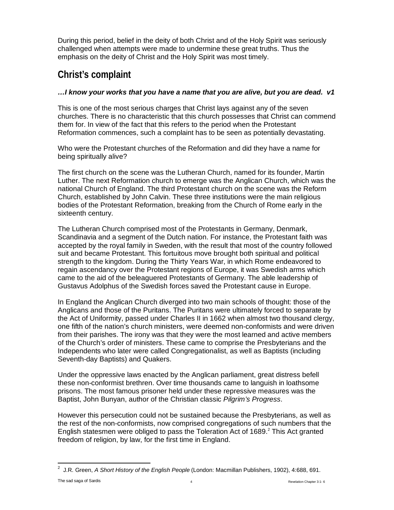During this period, belief in the deity of both Christ and of the Holy Spirit was seriously challenged when attempts were made to undermine these great truths. Thus the emphasis on the deity of Christ and the Holy Spirit was most timely.

## <span id="page-3-0"></span>**Christ's complaint**

## *…I know your works that you have a name that you are alive, but you are dead. v1*

This is one of the most serious charges that Christ lays against any of the seven churches. There is no characteristic that this church possesses that Christ can commend them for. In view of the fact that this refers to the period when the Protestant Reformation commences, such a complaint has to be seen as potentially devastating.

Who were the Protestant churches of the Reformation and did they have a name for being spiritually alive?

The first church on the scene was the Lutheran Church, named for its founder, Martin Luther. The next Reformation church to emerge was the Anglican Church, which was the national Church of England. The third Protestant church on the scene was the Reform Church, established by John Calvin. These three institutions were the main religious bodies of the Protestant Reformation, breaking from the Church of Rome early in the sixteenth century.

The Lutheran Church comprised most of the Protestants in Germany, Denmark, Scandinavia and a segment of the Dutch nation. For instance, the Protestant faith was accepted by the royal family in Sweden, with the result that most of the country followed suit and became Protestant. This fortuitous move brought both spiritual and political strength to the kingdom. During the Thirty Years War, in which Rome endeavored to regain ascendancy over the Protestant regions of Europe, it was Swedish arms which came to the aid of the beleaguered Protestants of Germany. The able leadership of Gustavus Adolphus of the Swedish forces saved the Protestant cause in Europe.

In England the Anglican Church diverged into two main schools of thought: those of the Anglicans and those of the Puritans. The Puritans were ultimately forced to separate by the Act of Uniformity, passed under Charles II in 1662 when almost two thousand clergy, one fifth of the nation's church ministers, were deemed non-conformists and were driven from their parishes. The irony was that they were the most learned and active members of the Church's order of ministers. These came to comprise the Presbyterians and the Independents who later were called Congregationalist, as well as Baptists (including Seventh-day Baptists) and Quakers.

Under the oppressive laws enacted by the Anglican parliament, great distress befell these non-conformist brethren. Over time thousands came to languish in loathsome prisons. The most famous prisoner held under these repressive measures was the Baptist, John Bunyan, author of the Christian classic *Pilgrim's Progress*.

However this persecution could not be sustained because the Presbyterians, as well as the rest of the non-conformists, now comprised congregations of such numbers that the English statesmen were obliged to pass the Toleration Act of 1689. $^2$  This Act granted freedom of religion, by law, for the first time in England.

<span id="page-3-1"></span> $\frac{1}{2}$ <sup>2</sup> J.R. Green, *A Short History of the English People* (London: Macmillan Publishers, 1902), 4:688, 691.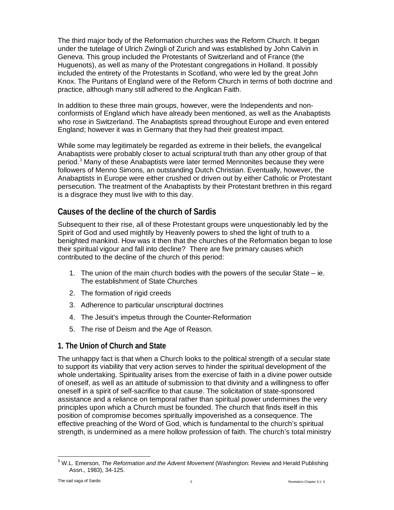The third major body of the Reformation churches was the Reform Church. It began under the tutelage of Ulrich Zwingli of Zurich and was established by John Calvin in Geneva. This group included the Protestants of Switzerland and of France (the Huguenots), as well as many of the Protestant congregations in Holland. It possibly included the entirety of the Protestants in Scotland, who were led by the great John Knox. The Puritans of England were of the Reform Church in terms of both doctrine and practice, although many still adhered to the Anglican Faith.

In addition to these three main groups, however, were the Independents and nonconformists of England which have already been mentioned, as well as the Anabaptists who rose in Switzerland. The Anabaptists spread throughout Europe and even entered England; however it was in Germany that they had their greatest impact.

While some may legitimately be regarded as extreme in their beliefs, the evangelical Anabaptists were probably closer to actual scriptural truth than any other group of that period.[3](#page-4-2) Many of these Anabaptists were later termed Mennonites because they were followers of Menno Simons, an outstanding Dutch Christian. Eventually, however, the Anabaptists in Europe were either crushed or driven out by either Catholic or Protestant persecution. The treatment of the Anabaptists by their Protestant brethren in this regard is a disgrace they must live with to this day.

## <span id="page-4-0"></span>**Causes of the decline of the church of Sardis**

Subsequent to their rise, all of these Protestant groups were unquestionably led by the Spirit of God and used mightily by Heavenly powers to shed the light of truth to a benighted mankind. How was it then that the churches of the Reformation began to lose their spiritual vigour and fall into decline? There are five primary causes which contributed to the decline of the church of this period:

- 1. The union of the main church bodies with the powers of the secular State ie. The establishment of State Churches
- 2. The formation of rigid creeds
- 3. Adherence to particular unscriptural doctrines
- 4. The Jesuit's impetus through the Counter-Reformation
- 5. The rise of Deism and the Age of Reason.
- <span id="page-4-1"></span>**1. The Union of Church and State**

The unhappy fact is that when a Church looks to the political strength of a secular state to support its viability that very action serves to hinder the spiritual development of the whole undertaking. Spirituality arises from the exercise of faith in a divine power outside of oneself, as well as an attitude of submission to that divinity and a willingness to offer oneself in a spirit of self-sacrifice to that cause. The solicitation of state-sponsored assistance and a reliance on temporal rather than spiritual power undermines the very principles upon which a Church must be founded. The church that finds itself in this position of compromise becomes spiritually impoverished as a consequence. The effective preaching of the Word of God, which is fundamental to the church's spiritual strength, is undermined as a mere hollow profession of faith. The church's total ministry

<span id="page-4-2"></span><sup>3</sup> W.L. Emerson, *The Reformation and the Advent Movement* (Washington: Review and Herald Publishing Assn., 1983), 34-125.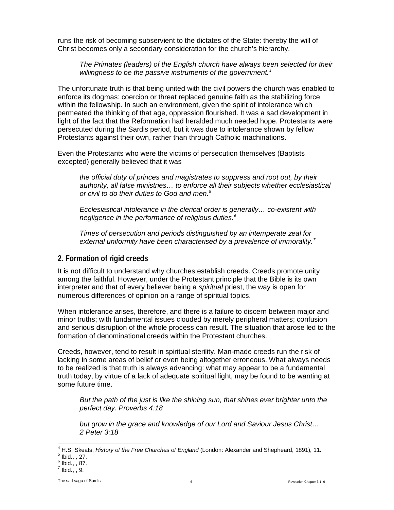runs the risk of becoming subservient to the dictates of the State: thereby the will of Christ becomes only a secondary consideration for the church's hierarchy.

*The Primates (leaders) of the English church have always been selected for their willingness to be the passive instruments of the government[.4](#page-5-1)*

The unfortunate truth is that being united with the civil powers the church was enabled to enforce its dogmas: coercion or threat replaced genuine faith as the stabilizing force within the fellowship. In such an environment, given the spirit of intolerance which permeated the thinking of that age, oppression flourished. It was a sad development in light of the fact that the Reformation had heralded much needed hope. Protestants were persecuted during the Sardis period, but it was due to intolerance shown by fellow Protestants against their own, rather than through Catholic machinations.

Even the Protestants who were the victims of persecution themselves (Baptists excepted) generally believed that it was

*the official duty of princes and magistrates to suppress and root out, by their authority, all false ministries… to enforce all their subjects whether ecclesiastical or civil to do their duties to God and men.[5](#page-5-2)*

*Ecclesiastical intolerance in the clerical order is generally… co-existent with negligence in the performance of religious duties.[6](#page-5-3)*

*Times of persecution and periods distinguished by an intemperate zeal for external uniformity have been characterised by a prevalence of immorality.[7](#page-5-4)*

## <span id="page-5-0"></span>**2. Formation of rigid creeds**

It is not difficult to understand why churches establish creeds. Creeds promote unity among the faithful. However, under the Protestant principle that the Bible is its own interpreter and that of every believer being a *spiritual* priest, the way is open for numerous differences of opinion on a range of spiritual topics.

When intolerance arises, therefore, and there is a failure to discern between major and minor truths; with fundamental issues clouded by merely peripheral matters; confusion and serious disruption of the whole process can result. The situation that arose led to the formation of denominational creeds within the Protestant churches.

Creeds, however, tend to result in spiritual sterility. Man-made creeds run the risk of lacking in some areas of belief or even being altogether erroneous. What always needs to be realized is that truth is always advancing: what may appear to be a fundamental truth today, by virtue of a lack of adequate spiritual light, may be found to be wanting at some future time.

*But the path of the just is like the shining sun, that shines ever brighter unto the perfect day. Proverbs 4:18*

*but grow in the grace and knowledge of our Lord and Saviour Jesus Christ… 2 Peter 3:18*

<span id="page-5-2"></span><span id="page-5-1"></span><sup>&</sup>lt;sup>4</sup> H.S. Skeats, *History of the Free Churches of England* (London: Alexander and Shepheard, 1891), 11.<br><sup>5</sup> Ibid., , 27.<br><sup>6</sup> Ibid., , 87.<br><sup>7</sup> Ibid., , 9.

<span id="page-5-3"></span>

<span id="page-5-4"></span>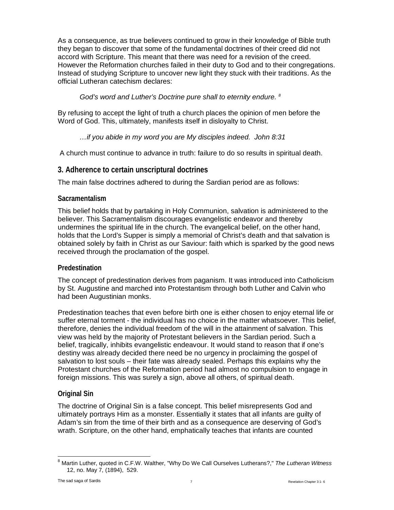As a consequence, as true believers continued to grow in their knowledge of Bible truth they began to discover that some of the fundamental doctrines of their creed did not accord with Scripture. This meant that there was need for a revision of the creed. However the Reformation churches failed in their duty to God and to their congregations. Instead of studying Scripture to uncover new light they stuck with their traditions. As the official Lutheran catechism declares:

*God's word and Luther's Doctrine pure shall to eternity endure. [8](#page-6-1)*

By refusing to accept the light of truth a church places the opinion of men before the Word of God. This, ultimately, manifests itself in disloyalty to Christ.

## *…if you abide in my word you are My disciples indeed. John 8:31*

A church must continue to advance in truth: failure to do so results in spiritual death.

## <span id="page-6-0"></span>**3. Adherence to certain unscriptural doctrines**

The main false doctrines adhered to during the Sardian period are as follows:

## **Sacramentalism**

This belief holds that by partaking in Holy Communion, salvation is administered to the believer. This Sacramentalism discourages evangelistic endeavor and thereby undermines the spiritual life in the church. The evangelical belief, on the other hand, holds that the Lord's Supper is simply a memorial of Christ's death and that salvation is obtained solely by faith in Christ as our Saviour: faith which is sparked by the good news received through the proclamation of the gospel.

## **Predestination**

The concept of predestination derives from paganism. It was introduced into Catholicism by St. Augustine and marched into Protestantism through both Luther and Calvin who had been Augustinian monks.

Predestination teaches that even before birth one is either chosen to enjoy eternal life or suffer eternal torment - the individual has no choice in the matter whatsoever. This belief, therefore, denies the individual freedom of the will in the attainment of salvation. This view was held by the majority of Protestant believers in the Sardian period. Such a belief, tragically, inhibits evangelistic endeavour. It would stand to reason that if one's destiny was already decided there need be no urgency in proclaiming the gospel of salvation to lost souls – their fate was already sealed. Perhaps this explains why the Protestant churches of the Reformation period had almost no compulsion to engage in foreign missions. This was surely a sign, above all others, of spiritual death.

## **Original Sin**

The doctrine of Original Sin is a false concept. This belief misrepresents God and ultimately portrays Him as a monster. Essentially it states that all infants are guilty of Adam's sin from the time of their birth and as a consequence are deserving of God's wrath. Scripture, on the other hand, emphatically teaches that infants are counted

<span id="page-6-1"></span><sup>8</sup> Martin Luther, quoted in C.F.W. Walther, "Why Do We Call Ourselves Lutherans?," *The Lutheran Witness* 12, no. May 7, (1894), 529.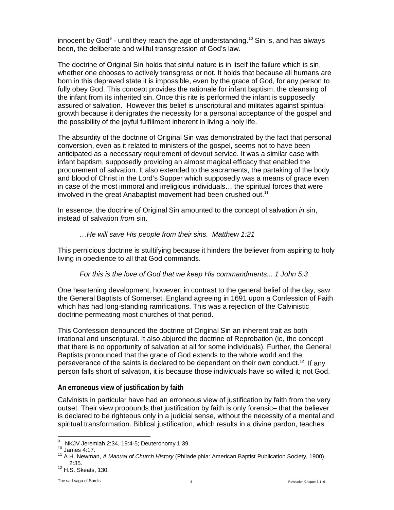innocent by God<sup>9</sup> - until they reach the age of understanding.<sup>[10](#page-7-1)</sup> Sin is, and has always been, the deliberate and willful transgression of God's law.

The doctrine of Original Sin holds that sinful nature is in itself the failure which is sin, whether one chooses to actively transgress or not. It holds that because all humans are born in this depraved state it is impossible, even by the grace of God, for any person to fully obey God. This concept provides the rationale for infant baptism, the cleansing of the infant from its inherited sin. Once this rite is performed the infant is supposedly assured of salvation. However this belief is unscriptural and militates against spiritual growth because it denigrates the necessity for a personal acceptance of the gospel and the possibility of the joyful fulfillment inherent in living a holy life.

The absurdity of the doctrine of Original Sin was demonstrated by the fact that personal conversion, even as it related to ministers of the gospel, seems not to have been anticipated as a necessary requirement of devout service. It was a similar case with infant baptism, supposedly providing an almost magical efficacy that enabled the procurement of salvation. It also extended to the sacraments, the partaking of the body and blood of Christ in the Lord's Supper which supposedly was a means of grace even in case of the most immoral and irreligious individuals… the spiritual forces that were involved in the great Anabaptist movement had been crushed out.<sup>[11](#page-7-2)</sup>

In essence, the doctrine of Original Sin amounted to the concept of salvation *in* sin, instead of salvation *from* sin.

#### *…He will save His people from their sins. Matthew 1:21*

This pernicious doctrine is stultifying because it hinders the believer from aspiring to holy living in obedience to all that God commands.

#### *For this is the love of God that we keep His commandments... 1 John 5:3*

One heartening development, however, in contrast to the general belief of the day, saw the General Baptists of Somerset, England agreeing in 1691 upon a Confession of Faith which has had long-standing ramifications. This was a rejection of the Calvinistic doctrine permeating most churches of that period.

This Confession denounced the doctrine of Original Sin an inherent trait as both irrational and unscriptural. It also abjured the doctrine of Reprobation (ie, the concept that there is no opportunity of salvation at all for some individuals). Further, the General Baptists pronounced that the grace of God extends to the whole world and the perseverance of the saints is declared to be dependent on their own conduct.<sup>12</sup>. If any person falls short of salvation, it is because those individuals have so willed it; not God.

## **An erroneous view of justification by faith**

Calvinists in particular have had an erroneous view of justification by faith from the very outset. Their view propounds that justification by faith is only forensic– that the believer is declared to be righteous only in a judicial sense*,* without the necessity of a mental and spiritual transformation. Biblical justification, which results in a divine pardon, teaches

<span id="page-7-2"></span><span id="page-7-1"></span><span id="page-7-0"></span><sup>&</sup>lt;sup>9</sup> NKJV Jeremiah 2:34, 19:4-5; Deuteronomy 1:39.<br><sup>10</sup> James 4:17.<br><sup>11</sup> A.H. Newman, *A Manual of Church History* (Philadelphia: American Baptist Publication Society, 1900), 2:35.<br><sup>12</sup> H.S. Skeats, 130.

<span id="page-7-3"></span>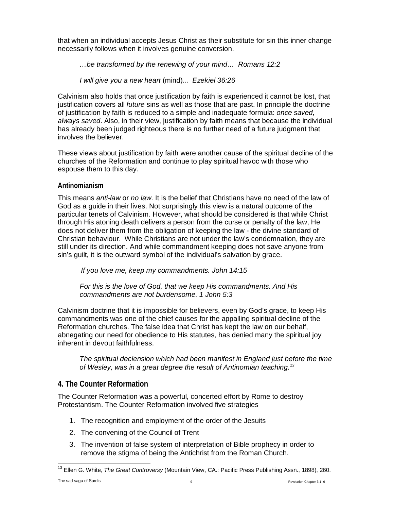that when an individual accepts Jesus Christ as their substitute for sin this inner change necessarily follows when it involves genuine conversion.

## *…be transformed by the renewing of your mind… Romans 12:2*

*I will give you a new heart* (mind)*... Ezekiel 36:26*

Calvinism also holds that once justification by faith is experienced it cannot be lost, that justification covers all *future* sins as well as those that are past. In principle the doctrine of justification by faith is reduced to a simple and inadequate formula: *once saved, always saved*. Also, in their view, justification by faith means that because the individual has already been judged righteous there is no further need of a future judgment that involves the believer.

These views about justification by faith were another cause of the spiritual decline of the churches of the Reformation and continue to play spiritual havoc with those who espouse them to this day.

## **Antinomianism**

This means *anti-law* or *no law*. It is the belief that Christians have no need of the law of God as a guide in their lives. Not surprisingly this view is a natural outcome of the particular tenets of Calvinism. However, what should be considered is that while Christ through His atoning death delivers a person from the curse or penalty of the law, He does not deliver them from the obligation of keeping the law - the divine standard of Christian behaviour. While Christians are not under the law's condemnation, they are still under its direction. And while commandment keeping does not save anyone from sin's guilt, it is the outward symbol of the individual's salvation by grace.

*If you love me, keep my commandments. John 14:15*

*For this is the love of God, that we keep His commandments. And His commandments are not burdensome. 1 John 5:3*

Calvinism doctrine that it is impossible for believers, even by God's grace, to keep His commandments was one of the chief causes for the appalling spiritual decline of the Reformation churches. The false idea that Christ has kept the law on our behalf, abnegating our need for obedience to His statutes, has denied many the spiritual joy inherent in devout faithfulness.

*The spiritual declension which had been manifest in England just before the time of Wesley, was in a great degree the result of Antinomian teaching.[13](#page-8-1)*

## <span id="page-8-0"></span>**4. The Counter Reformation**

The Counter Reformation was a powerful, concerted effort by Rome to destroy Protestantism. The Counter Reformation involved five strategies

- 1. The recognition and employment of the order of the Jesuits
- 2. The convening of the Council of Trent
- 3. The invention of false system of interpretation of Bible prophecy in order to remove the stigma of being the Antichrist from the Roman Church.

<span id="page-8-1"></span>The sad saga of Sardis and Sardis and Sardis and Sardis and Sardis and Sardis and Sardis and Sardis and Sardis Africa and Sardis and Sardis and Sardis and Sardis and Sardis and Sardis and Sardis and Sardis and Sardis and S <sup>13</sup> Ellen G. White, *The Great Controversy* (Mountain View, CA.: Pacific Press Publishing Assn., 1898), 260.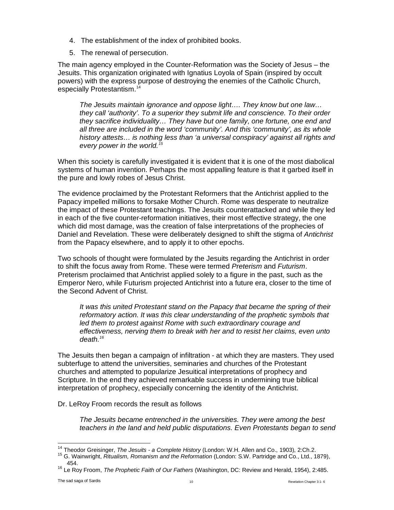- 4. The establishment of the index of prohibited books.
- 5. The renewal of persecution.

The main agency employed in the Counter-Reformation was the Society of Jesus – the Jesuits. This organization originated with Ignatius Loyola of Spain (inspired by occult powers) with the express purpose of destroying the enemies of the Catholic Church, especially Protestantism.<sup>[14](#page-9-0)</sup>

*The Jesuits maintain ignorance and oppose light…. They know but one law… they call 'authority'. To a superior they submit life and conscience. To their order they sacrifice individuality… They have but one family, one fortune, one end and all three are included in the word 'community'. And this 'community', as its whole history attests… is nothing less than 'a universal conspiracy' against all rights and every power in the world. [15](#page-9-1)*

When this society is carefully investigated it is evident that it is one of the most diabolical systems of human invention. Perhaps the most appalling feature is that it garbed itself in the pure and lowly robes of Jesus Christ.

The evidence proclaimed by the Protestant Reformers that the Antichrist applied to the Papacy impelled millions to forsake Mother Church. Rome was desperate to neutralize the impact of these Protestant teachings. The Jesuits counterattacked and while they led in each of the five counter-reformation initiatives, their most effective strategy, the one which did most damage, was the creation of false interpretations of the prophecies of Daniel and Revelation. These were deliberately designed to shift the stigma of *Antichrist* from the Papacy elsewhere, and to apply it to other epochs.

Two schools of thought were formulated by the Jesuits regarding the Antichrist in order to shift the focus away from Rome. These were termed *Preterism* and *Futurism*. Preterism proclaimed that Antichrist applied solely to a figure in the past, such as the Emperor Nero, while Futurism projected Antichrist into a future era, closer to the time of the Second Advent of Christ.

*It was this united Protestant stand on the Papacy that became the spring of their reformatory action. It was this clear understanding of the prophetic symbols that led them to protest against Rome with such extraordinary courage and effectiveness, nerving them to break with her and to resist her claims, even unto death.[16](#page-9-2)*

The Jesuits then began a campaign of infiltration - at which they are masters. They used subterfuge to attend the universities, seminaries and churches of the Protestant churches and attempted to popularize Jesuitical interpretations of prophecy and Scripture. In the end they achieved remarkable success in undermining true biblical interpretation of prophecy, especially concerning the identity of the Antichrist.

## Dr. LeRoy Froom records the result as follows

*The Jesuits became entrenched in the universities. They were among the best teachers in the land and held public disputations. Even Protestants began to send* 

<span id="page-9-0"></span><sup>&</sup>lt;sup>14</sup> Theodor Greisinger, *The Jesuits - a Complete History* (London: W.H. Allen and Co., 1903), 2:Ch.2.<br><sup>15</sup> G. Wainwright, *Ritualism, Romanism and the Reformation* (London: S.W. Partridge and Co., Ltd., 1879),

<span id="page-9-2"></span><span id="page-9-1"></span><sup>454.</sup> <sup>16</sup> Le Roy Froom, *The Prophetic Faith of Our Fathers* (Washington, DC: Review and Herald, 1954), 2:485.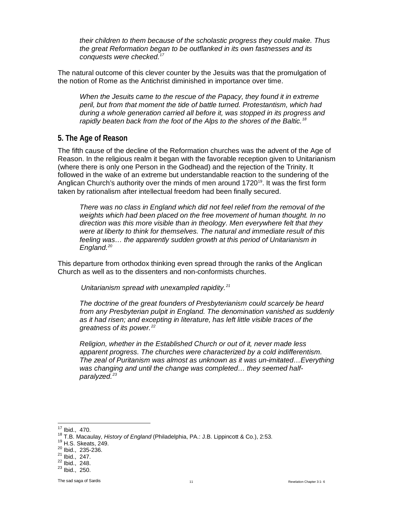*their children to them because of the scholastic progress they could make. Thus the great Reformation began to be outflanked in its own fastnesses and its conquests were checked[.17](#page-10-1)*

The natural outcome of this clever counter by the Jesuits was that the promulgation of the notion of Rome as the Antichrist diminished in importance over time.

*When the Jesuits came to the rescue of the Papacy, they found it in extreme peril, but from that moment the tide of battle turned. Protestantism, which had during a whole generation carried all before it, was stopped in its progress and rapidly beaten back from the foot of the Alps to the shores of the Baltic. [18](#page-10-2)*

## <span id="page-10-0"></span>**5. The Age of Reason**

The fifth cause of the decline of the Reformation churches was the advent of the Age of Reason. In the religious realm it began with the favorable reception given to Unitarianism (where there is only one Person in the Godhead) and the rejection of the Trinity. It followed in the wake of an extreme but understandable reaction to the sundering of the Anglican Church's authority over the minds of men around 1720<sup>19</sup>. It was the first form taken by rationalism after intellectual freedom had been finally secured.

*There was no class in England which did not feel relief from the removal of the weights which had been placed on the free movement of human thought. In no direction was this more visible than in theology. Men everywhere felt that they were at liberty to think for themselves. The natural and immediate result of this feeling was… the apparently sudden growth at this period of Unitarianism in England. [20](#page-10-4)*

This departure from orthodox thinking even spread through the ranks of the Anglican Church as well as to the dissenters and non-conformists churches.

*Unitarianism spread with unexampled rapidity. [21](#page-10-5)*

*The doctrine of the great founders of Presbyterianism could scarcely be heard from any Presbyterian pulpit in England. The denomination vanished as suddenly as it had risen; and excepting in literature, has left little visible traces of the greatness of its power.[22](#page-10-6)*

*Religion, whether in the Established Church or out of it, never made less apparent progress. The churches were characterized by a cold indifferentism. The zeal of Puritanism was almost as unknown as it was un-imitated…Everything was changing and until the change was completed… they seemed halfparalyzed.[23](#page-10-7)*

<span id="page-10-3"></span><span id="page-10-2"></span><span id="page-10-1"></span><sup>&</sup>lt;sup>17</sup> Ibid., 470.<br><sup>18</sup> T.B. Macaulay, *History of England* (Philadelphia, PA.: J.B. Lippincott & Co.), 2:53.<br><sup>19</sup> H.S. Skeats, 249.<br><sup>21</sup> Ibid., 235-236.<br><sup>21</sup> Ibid., 247.<br><sup>22</sup> Ibid., 248.<br><sup>23</sup> Ibid., 250.

<span id="page-10-5"></span><span id="page-10-4"></span>

<span id="page-10-7"></span><span id="page-10-6"></span>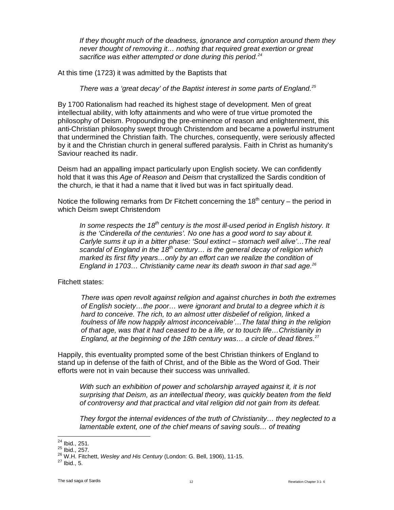*If they thought much of the deadness, ignorance and corruption around them they never thought of removing it… nothing that required great exertion or great sacrifice was either attempted or done during this period.[24](#page-11-0)*

At this time (1723) it was admitted by the Baptists that

*There was a 'great decay' of the Baptist interest in some parts of England.[25](#page-11-1)*

By 1700 Rationalism had reached its highest stage of development. Men of great intellectual ability, with lofty attainments and who were of true virtue promoted the philosophy of Deism. Propounding the pre-eminence of reason and enlightenment, this anti-Christian philosophy swept through Christendom and became a powerful instrument that undermined the Christian faith. The churches, consequently, were seriously affected by it and the Christian church in general suffered paralysis. Faith in Christ as humanity's Saviour reached its nadir.

Deism had an appalling impact particularly upon English society. We can confidently hold that it was this *Age of Reason* and *Deism* that crystallized the Sardis condition of the church, ie that it had a name that it lived but was in fact spiritually dead.

Notice the following remarks from Dr Fitchett concerning the  $18<sup>th</sup>$  century – the period in which Deism swept Christendom

*In some respects the 18th century is the most ill-used period in English history. It is the 'Cinderella of the centuries'. No one has a good word to say about it. Carlyle sums it up in a bitter phase: 'Soul extinct – stomach well alive'…The real scandal of England in the 18th century… is the general decay of religion which marked its first fifty years…only by an effort can we realize the condition of England in 1703… Christianity came near its death swoon in that sad age[.26](#page-11-2)*

Fitchett states:

*There was open revolt against religion and against churches in both the extremes of English society…the poor… were ignorant and brutal to a degree which it is hard to conceive. The rich, to an almost utter disbelief of religion, linked a foulness of life now happily almost inconceivable'…The fatal thing in the religion of that age, was that it had ceased to be a life, or to touch life…Christianity in England, at the beginning of the 18th century was… a circle of dead fibres.*[27](#page-11-3)

Happily, this eventuality prompted some of the best Christian thinkers of England to stand up in defense of the faith of Christ, and of the Bible as the Word of God. Their efforts were not in vain because their success was unrivalled.

*With such an exhibition of power and scholarship arrayed against it, it is not surprising that Deism, as an intellectual theory, was quickly beaten from the field of controversy and that practical and vital religion did not gain from its defeat.* 

*They forgot the internal evidences of the truth of Christianity… they neglected to a lamentable extent, one of the chief means of saving souls… of treating* 

<span id="page-11-1"></span>

<span id="page-11-0"></span><sup>&</sup>lt;sup>24</sup> Ibid., 251.<br><sup>25</sup> Ibid., 257.<br><sup>26</sup> W.H. Fitchett, *Wesley and His Century* (London: G. Bell, 1906), 11-15.<br><sup>27</sup> Ibid., 5.

<span id="page-11-3"></span><span id="page-11-2"></span>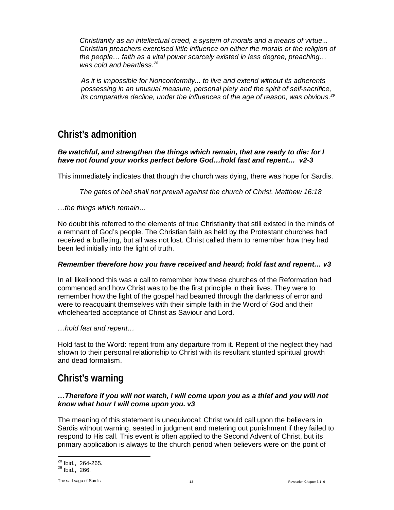*Christianity as an intellectual creed, a system of morals and a means of virtue... Christian preachers exercised little influence on either the morals or the religion of the people… faith as a vital power scarcely existed in less degree, preaching… was cold and heartless. [28](#page-12-2)*

*As it is impossible for Nonconformity... to live and extend without its adherents possessing in an unusual measure, personal piety and the spirit of self-sacrifice, its comparative decline, under the influences of the age of reason, was obvious. [29](#page-12-3)*

## <span id="page-12-0"></span>**Christ's admonition**

#### *Be watchful, and strengthen the things which remain, that are ready to die: for I have not found your works perfect before God…hold fast and repent… v2-3*

This immediately indicates that though the church was dying, there was hope for Sardis.

*The gates of hell shall not prevail against the church of Christ. Matthew 16:18* 

*…the things which remain…*

No doubt this referred to the elements of true Christianity that still existed in the minds of a remnant of God's people. The Christian faith as held by the Protestant churches had received a buffeting, but all was not lost. Christ called them to remember how they had been led initially into the light of truth.

## *Remember therefore how you have received and heard; hold fast and repent… v3*

In all likelihood this was a call to remember how these churches of the Reformation had commenced and how Christ was to be the first principle in their lives. They were to remember how the light of the gospel had beamed through the darkness of error and were to reacquaint themselves with their simple faith in the Word of God and their wholehearted acceptance of Christ as Saviour and Lord.

*…hold fast and repent…*

Hold fast to the Word: repent from any departure from it. Repent of the neglect they had shown to their personal relationship to Christ with its resultant stunted spiritual growth and dead formalism.

## <span id="page-12-1"></span>**Christ's warning**

## *…Therefore if you will not watch, I will come upon you as a thief and you will not know what hour I will come upon you. v3*

The meaning of this statement is unequivocal: Christ would call upon the believers in Sardis without warning, seated in judgment and metering out punishment if they failed to respond to His call. This event is often applied to the Second Advent of Christ, but its primary application is always to the church period when believers were on the point of

<span id="page-12-3"></span><span id="page-12-2"></span> $^{28}$  Ibid., 264-265.<br> $^{29}$  Ibid., 266.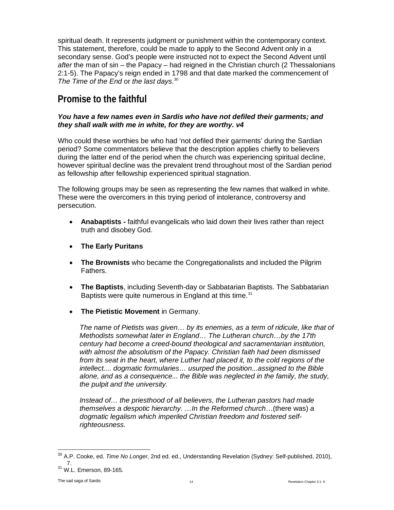spiritual death. It represents judgment or punishment within the contemporary context. This statement, therefore, could be made to apply to the Second Advent only in a secondary sense. God's people were instructed not to expect the Second Advent until *after* the man of sin – the Papacy – had reigned in the Christian church (2 Thessalonians 2:1-5). The Papacy's reign ended in 1798 and that date marked the commencement of *The Time of the End* or *the last days.*[30](#page-13-1)

## <span id="page-13-0"></span>**Promise to the faithful**

#### *You have a few names even in Sardis who have not defiled their garments; and they shall walk with me in white, for they are worthy. v4*

Who could these worthies be who had 'not defiled their garments' during the Sardian period? Some commentators believe that the description applies chiefly to believers during the latter end of the period when the church was experiencing spiritual decline, however spiritual decline was the prevalent trend throughout most of the Sardian period as fellowship after fellowship experienced spiritual stagnation.

The following groups may be seen as representing the few names that walked in white. These were the overcomers in this trying period of intolerance, controversy and persecution.

- **Anabaptists -** faithful evangelicals who laid down their lives rather than reject truth and disobey God.
- **The Early Puritans**
- **The Brownists** who became the Congregationalists and included the Pilgrim Fathers.
- **The Baptists**, including Seventh-day or Sabbatarian Baptists. The Sabbatarian Baptists were quite numerous in England at this time.<sup>[31](#page-13-2)</sup>
- **The Pietistic Movement** in Germany.

*The name of Pietists was given… by its enemies, as a term of ridicule, like that of Methodists somewhat later in England… The Lutheran church…by the 17th century had become a creed-bound theological and sacramentarian institution, with almost the absolutism of the Papacy. Christian faith had been dismissed from its seat in the heart, where Luther had placed it, to the cold regions of the intellect.... dogmatic formularies… usurped the position...assigned to the Bible alone, and as a consequence... the Bible was neglected in the family, the study, the pulpit and the university.* 

*Instead of… the priesthood of all believers, the Lutheran pastors had made themselves a despotic hierarchy. …In the Reformed church*…(there was) *a dogmatic legalism which imperiled Christian freedom and fostered selfrighteousness.*

<span id="page-13-1"></span><sup>30</sup> A.P. Cooke, ed. *Time No Longer*, 2nd ed. ed., Understanding Revelation (Sydney: Self-published, 2010),

<span id="page-13-2"></span><sup>&</sup>lt;sup>31</sup> W.L. Emerson, 89-165.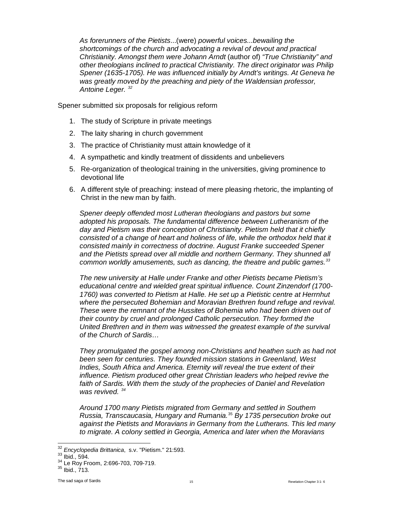*As forerunners of the Pietists*...(were) *powerful voices...bewailing the shortcomings of the church and advocating a revival of devout and practical Christianity. Amongst them were Johann Arndt* (author of) *"True Christianity" and other theologians inclined to practical Christianity. The direct originator was Philip Spener (1635-1705). He was influenced initially by Arndt's writings. At Geneva he was greatly moved by the preaching and piety of the Waldensian professor, Antoine Leger. [32](#page-14-0)*

Spener submitted six proposals for religious reform

- 1. The study of Scripture in private meetings
- 2. The laity sharing in church government
- 3. The practice of Christianity must attain knowledge of it
- 4. A sympathetic and kindly treatment of dissidents and unbelievers
- 5. Re-organization of theological training in the universities, giving prominence to devotional life
- 6. A different style of preaching: instead of mere pleasing rhetoric, the implanting of Christ in the new man by faith.

*Spener deeply offended most Lutheran theologians and pastors but some adopted his proposals. The fundamental difference between Lutheranism of the day and Pietism was their conception of Christianity. Pietism held that it chiefly consisted of a change of heart and holiness of life, while the orthodox held that it consisted mainly in correctness of doctrine. August Franke succeeded Spener and the Pietists spread over all middle and northern Germany. They shunned all common worldly amusements, such as dancing, the theatre and public games[.33](#page-14-1)*

*The new university at Halle under Franke and other Pietists became Pietism's educational centre and wielded great spiritual influence. Count Zinzendorf (1700- 1760) was converted to Pietism at Halle. He set up a Pietistic centre at Herrnhut where the persecuted Bohemian and Moravian Brethren found refuge and revival. These were the remnant of the Hussites of Bohemia who had been driven out of their country by cruel and prolonged Catholic persecution. They formed the United Brethren and in them was witnessed the greatest example of the survival of the Church of Sardis…* 

*They promulgated the gospel among non-Christians and heathen such as had not been seen for centuries. They founded mission stations in Greenland, West Indies, South Africa and America. Eternity will reveal the true extent of their influence. Pietism produced other great Christian leaders who helped revive the*  faith of Sardis. With them the study of the prophecies of Daniel and Revelation *was revived. [34](#page-14-2)*

*Around 1700 many Pietists migrated from Germany and settled in Southern Russia, Transcaucasia, Hungary and Rumania.*[35](#page-14-3) *By 1735 persecution broke out against the Pietists and Moravians in Germany from the Lutherans. This led many to migrate. A colony settled in Georgia, America and later when the Moravians* 

<span id="page-14-1"></span><span id="page-14-0"></span><sup>&</sup>lt;sup>32</sup> *Encyclopedia Brittanica*, s.v. "Pietism." 21:593.<br><sup>34</sup> Ibid., 594.<br><sup>34</sup> Le Roy Froom, 2:696-703, 709-719.<br><sup>35</sup> Ibid., 713.

<span id="page-14-3"></span><span id="page-14-2"></span>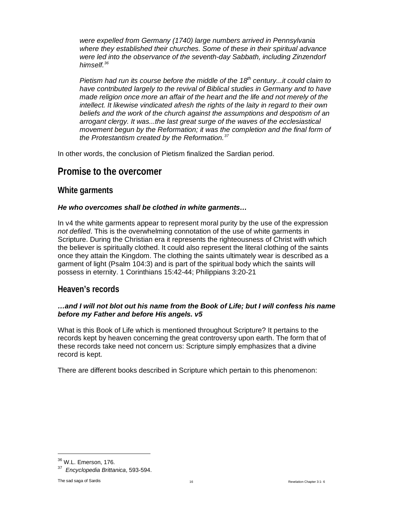*were expelled from Germany (1740) large numbers arrived in Pennsylvania where they established their churches. Some of these in their spiritual advance*  were led into the observance of the seventh-day Sabbath, including Zinzendorf *himself.[36](#page-15-3)*

*Pietism had run its course before the middle of the 18th century...it could claim to have contributed largely to the revival of Biblical studies in Germany and to have made religion once more an affair of the heart and the life and not merely of the intellect. It likewise vindicated afresh the rights of the laity in regard to their own beliefs and the work of the church against the assumptions and despotism of an arrogant clergy. It was...the last great surge of the waves of the ecclesiastical movement begun by the Reformation; it was the completion and the final form of the Protestantism created by the Reformation.[37](#page-15-4)*

In other words, the conclusion of Pietism finalized the Sardian period.

## <span id="page-15-0"></span>**Promise to the overcomer**

## <span id="page-15-1"></span>**White garments**

#### *He who overcomes shall be clothed in white garments…*

In v4 the white garments appear to represent moral purity by the use of the expression *not defiled*. This is the overwhelming connotation of the use of white garments in Scripture. During the Christian era it represents the righteousness of Christ with which the believer is spiritually clothed. It could also represent the literal clothing of the saints once they attain the Kingdom. The clothing the saints ultimately wear is described as a garment of light (Psalm 104:3) and is part of the spiritual body which the saints will possess in eternity. 1 Corinthians 15:42-44; Philippians 3:20-21

## <span id="page-15-2"></span>**Heaven's records**

#### *…and I will not blot out his name from the Book of Life; but I will confess his name before my Father and before His angels. v5*

What is this Book of Life which is mentioned throughout Scripture? It pertains to the records kept by heaven concerning the great controversy upon earth. The form that of these records take need not concern us: Scripture simply emphasizes that a divine record is kept.

There are different books described in Scripture which pertain to this phenomenon:

 $\overline{a}$ 

<span id="page-15-3"></span><sup>36</sup> W.L. Emerson, 176.

<span id="page-15-4"></span><sup>37</sup> *Encyclopedia Brittanica*, 593-594.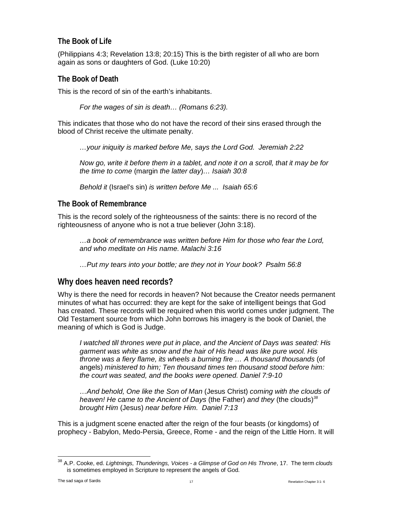## <span id="page-16-0"></span>**The Book of Life**

(Philippians 4:3; Revelation 13:8; 20:15) This is the birth register of all who are born again as sons or daughters of God. (Luke 10:20)

## <span id="page-16-1"></span>**The Book of Death**

This is the record of sin of the earth's inhabitants.

*For the wages of sin is death… (Romans 6:23).* 

This indicates that those who do not have the record of their sins erased through the blood of Christ receive the ultimate penalty.

*…your iniquity is marked before Me, says the Lord God. Jeremiah 2:22* 

*Now go, write it before them in a tablet, and note it on a scroll, that it may be for the time to come* (margin *the latter day*)*… Isaiah 30:8*

*Behold it* (Israel's sin) *is written before Me ... Isaiah 65:6*

## <span id="page-16-2"></span>**The Book of Remembrance**

This is the record solely of the righteousness of the saints: there is no record of the righteousness of anyone who is not a true believer (John 3:18).

*…a book of remembrance was written before Him for those who fear the Lord, and who meditate on His name. Malachi 3:16* 

*…Put my tears into your bottle; are they not in Your book? Psalm 56:8*

## <span id="page-16-3"></span>**Why does heaven need records?**

Why is there the need for records in heaven? Not because the Creator needs permanent minutes of what has occurred: they are kept for the sake of intelligent beings that God has created. These records will be required when this world comes under judgment. The Old Testament source from which John borrows his imagery is the book of Daniel, the meaning of which is God is Judge.

*I watched till thrones were put in place, and the Ancient of Days was seated: His garment was white as snow and the hair of His head was like pure wool. His throne was a fiery flame, its wheels a burning fire … A thousand thousands* (of angels) *ministered to him; Ten thousand times ten thousand stood before him: the court was seated, and the books were opened. Daniel 7:9-10*

*…And behold, One like the Son of Man* (Jesus Christ) *coming with the clouds of heaven! He came to the Ancient of Days* (the Father) *and they* (the clouds)*[38](#page-16-4) brought Him* (Jesus) *near before Him. Daniel 7:13* 

This is a judgment scene enacted after the reign of the four beasts (or kingdoms) of prophecy - Babylon, Medo-Persia, Greece, Rome - and the reign of the Little Horn. It will

<span id="page-16-4"></span><sup>38</sup> A.P. Cooke, ed. *Lightnings, Thunderings, Voices - <sup>a</sup> Glimpse of God on His Throne*, 17. The term *clouds* is sometimes employed in Scripture to represent the angels of God.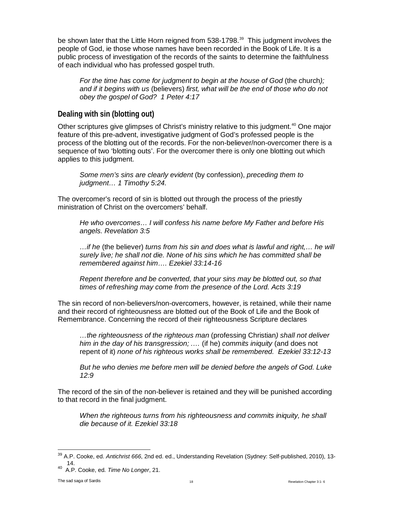be shown later that the Little Horn reigned from 538-1798.<sup>[39](#page-17-1)</sup> This judgment involves the people of God, ie those whose names have been recorded in the Book of Life. It is a public process of investigation of the records of the saints to determine the faithfulness of each individual who has professed gospel truth.

*For the time has come for judgment to begin at the house of God* (the church*); and if it begins with us* (believers) *first, what will be the end of those who do not obey the gospel of God? 1 Peter 4:17*

## <span id="page-17-0"></span>**Dealing with sin (blotting out)**

Other scriptures give glimpses of Christ's ministry relative to this judgment.<sup>40</sup> One major feature of this pre-advent, investigative judgment of God's professed people is the process of the blotting out of the records. For the non-believer/non-overcomer there is a sequence of two 'blotting outs'. For the overcomer there is only one blotting out which applies to this judgment.

*Some men's sins are clearly evident* (by confession), *preceding them to judgment… 1 Timothy 5:24.* 

The overcomer's record of sin is blotted out through the process of the priestly ministration of Christ on the overcomers' behalf.

*He who overcomes… I will confess his name before My Father and before His angels. Revelation 3:5* 

*…if he* (the believer) *turns from his sin and does what is lawful and right,… he will surely live; he shall not die. None of his sins which he has committed shall be remembered against him…. Ezekiel 33:14-16*

*Repent therefore and be converted, that your sins may be blotted out, so that times of refreshing may come from the presence of the Lord. Acts 3:19* 

The sin record of non-believers/non-overcomers, however, is retained, while their name and their record of righteousness are blotted out of the Book of Life and the Book of Remembrance. Concerning the record of their righteousness Scripture declares

*…the righteousness of the righteous man* (professing Christian*) shall not deliver him in the day of his transgression; .…* (if he) *commits iniquity* (and does not repent of it) *none of his righteous works shall be remembered. Ezekiel 33:12-13*

*But he who denies me before men will be denied before the angels of God. Luke 12:9*

The record of the sin of the non-believer is retained and they will be punished according to that record in the final judgment.

*When the righteous turns from his righteousness and commits iniquity, he shall die because of it. Ezekiel 33:18*

<span id="page-17-1"></span><sup>39</sup> A.P. Cooke, ed. *Antichrist 666*, 2nd ed. ed., Understanding Revelation (Sydney: Self-published, 2010), 13-

<span id="page-17-2"></span><sup>14.</sup> 40 A.P. Cooke, ed. *Time No Longer*, 21.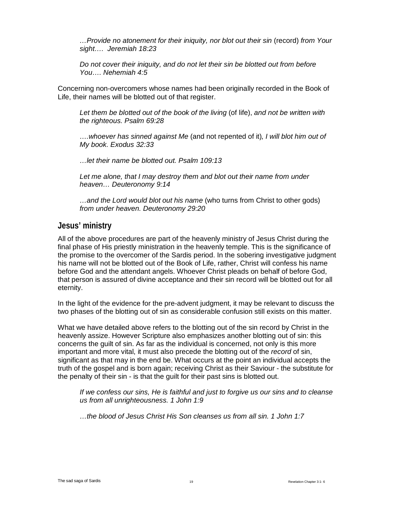*…Provide no atonement for their iniquity, nor blot out their sin* (record) *from Your sight…. Jeremiah 18:23*

*Do not cover their iniquity, and do not let their sin be blotted out from before You…. Nehemiah 4:5*

Concerning non-overcomers whose names had been originally recorded in the Book of Life, their names will be blotted out of that register.

*Let them be blotted out of the book of the living* (of life), *and not be written with the righteous. Psalm 69:28*

*….whoever has sinned against Me* (and not repented of it)*, I will blot him out of My book. Exodus 32:33*

*…let their name be blotted out. Psalm 109:13*

*Let me alone, that I may destroy them and blot out their name from under heaven… Deuteronomy 9:14*

*…and the Lord would blot out his name* (who turns from Christ to other gods) *from under heaven. Deuteronomy 29:20*

## <span id="page-18-0"></span>**Jesus' ministry**

All of the above procedures are part of the heavenly ministry of Jesus Christ during the final phase of His priestly ministration in the heavenly temple. This is the significance of the promise to the overcomer of the Sardis period. In the sobering investigative judgment his name will not be blotted out of the Book of Life, rather, Christ will confess his name before God and the attendant angels. Whoever Christ pleads on behalf of before God, that person is assured of divine acceptance and their sin record will be blotted out for all eternity.

In the light of the evidence for the pre-advent judgment, it may be relevant to discuss the two phases of the blotting out of sin as considerable confusion still exists on this matter.

What we have detailed above refers to the blotting out of the sin record by Christ in the heavenly assize. However Scripture also emphasizes another blotting out of sin: this concerns the guilt of sin. As far as the individual is concerned, not only is this more important and more vital, it must also precede the blotting out of the *record* of sin, significant as that may in the end be. What occurs at the point an individual accepts the truth of the gospel and is born again; receiving Christ as their Saviour - the substitute for the penalty of their sin - is that the guilt for their past sins is blotted out.

*If we confess our sins, He is faithful and just to forgive us our sins and to cleanse us from all unrighteousness. 1 John 1:9*

*…the blood of Jesus Christ His Son cleanses us from all sin. 1 John 1:7*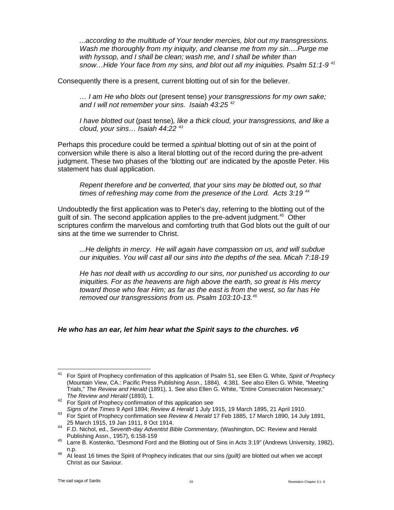*...according to the multitude of Your tender mercies, blot out my transgressions. Wash me thoroughly from my iniquity, and cleanse me from my sin….Purge me with hyssop, and I shall be clean; wash me, and I shall be whiter than snow…Hide Your face from my sins, and blot out all my iniquities. Psalm 51:1-9 [41](#page-19-0)*

Consequently there is a present, current blotting out of sin for the believer.

*… I am He who blots out* (present tense) *your transgressions for my own sake; and I will not remember your sins. Isaiah 43:25 [42](#page-19-1)* 

*I have blotted out* (past tense)*, like a thick cloud, your transgressions, and like a cloud, your sins… Isaiah 44:22 [43](#page-19-2)*

Perhaps this procedure could be termed a *spiritual* blotting out of sin at the point of conversion while there is also a literal blotting out of the record during the pre-advent judgment. These two phases of the 'blotting out' are indicated by the apostle Peter. His statement has dual application.

*Repent therefore and be converted, that your sins may be blotted out, so that times of refreshing may come from the presence of the Lord. Acts 3:19 [44](#page-19-3)*

Undoubtedly the first application was to Peter's day, referring to the blotting out of the quilt of sin. The second application applies to the pre-advent judgment.<sup>[45](#page-19-4)</sup> Other scriptures confirm the marvelous and comforting truth that God blots out the guilt of our sins at the time we surrender to Christ.

*...He delights in mercy. He will again have compassion on us, and will subdue our iniquities. You will cast all our sins into the depths of the sea. Micah 7:18-19*

*He has not dealt with us according to our sins, nor punished us according to our iniquities. For as the heavens are high above the earth, so great is His mercy toward those who fear Him; as far as the east is from the west, so far has He removed our transgressions from us. Psalm 103:10-13.[46](#page-19-5)*

#### *He who has an ear, let him hear what the Spirit says to the churches. v6*

<span id="page-19-0"></span><sup>41</sup> For Spirit of Prophecy confirmation of this application of Psalm 51, see Ellen G. White, *Spirit of Prophecy*  (Mountain View, CA.: Pacific Press Publishing Assn., 1884), 4:381. See also Ellen G. White, "Meeting Trials," *The Review and Herald* (1891), 1. See also Ellen G. White, "Entire Consecration Necessary," *The Review and Herald* (1893), 1.<br><sup>42</sup> For Spirit of Prophecy confirmation of this application see<br>*Signs of the Times* 9 April 1894: *Review & Herald* 1 July 1915, 19 March 1895, 21 April 1910.

<span id="page-19-2"></span><span id="page-19-1"></span>*As For Spirit of Prophecy confirmation see Review & Herald* 17 Feb 1885, 17 March 1890, 14 July 1891,<br><sup>43</sup> For Spirit of Prophecy confirmation see *Review & Herald* 17 Feb 1885, 17 March 1890, 14 July 1891,<br>25 March 1915,

<span id="page-19-3"></span><sup>25</sup> March 1915, 19 Jan 1911, 8 Oct 1914. <sup>44</sup> F.D. Nichol, ed., *Seventh-day Adventist Bible Commentary,* (Washington, DC: Review and Herald

<span id="page-19-4"></span>Publishing Assn., 1957), 6:158-159 <sup>45</sup> Larre B. Kostenko, "Desmond Ford and the Blotting out of Sins in Acts 3:19" (Andrews University, 1982),

<span id="page-19-5"></span>n.p. 46 At least 16 times the Spirit of Prophecy indicates that our sins *(guilt)* are blotted out when we accept Christ as our Saviour.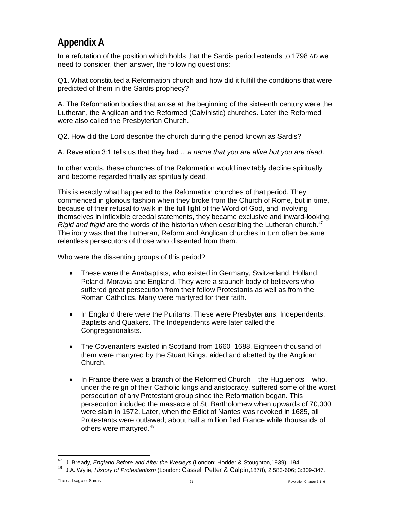## <span id="page-20-0"></span>**Appendix A**

In a refutation of the position which holds that the Sardis period extends to 1798 AD we need to consider, then answer, the following questions:

Q1. What constituted a Reformation church and how did it fulfill the conditions that were predicted of them in the Sardis prophecy?

A. The Reformation bodies that arose at the beginning of the sixteenth century were the Lutheran, the Anglican and the Reformed (Calvinistic) churches. Later the Reformed were also called the Presbyterian Church.

Q2. How did the Lord describe the church during the period known as Sardis?

A. Revelation 3:1 tells us that they had *…a name that you are alive but you are dead*.

In other words, these churches of the Reformation would inevitably decline spiritually and become regarded finally as spiritually dead.

This is exactly what happened to the Reformation churches of that period. They commenced in glorious fashion when they broke from the Church of Rome, but in time, because of their refusal to walk in the full light of the Word of God, and involving themselves in inflexible creedal statements, they became exclusive and inward-looking. *Rigid and frigid* are the words of the historian when describing the Lutheran church.<sup>[47](#page-20-1)</sup> The irony was that the Lutheran, Reform and Anglican churches in turn often became relentless persecutors of those who dissented from them.

Who were the dissenting groups of this period?

- These were the Anabaptists, who existed in Germany, Switzerland, Holland, Poland, Moravia and England. They were a staunch body of believers who suffered great persecution from their fellow Protestants as well as from the Roman Catholics. Many were martyred for their faith.
- In England there were the Puritans. These were Presbyterians, Independents, Baptists and Quakers. The Independents were later called the Congregationalists.
- The Covenanters existed in Scotland from 1660–1688. Eighteen thousand of them were martyred by the Stuart Kings, aided and abetted by the Anglican Church.
- In France there was a branch of the Reformed Church the Huguenots who, under the reign of their Catholic kings and aristocracy, suffered some of the worst persecution of any Protestant group since the Reformation began. This persecution included the massacre of St. Bartholomew when upwards of 70,000 were slain in 1572. Later, when the Edict of Nantes was revoked in 1685, all Protestants were outlawed; about half a million fled France while thousands of others were martyred.<sup>[48](#page-20-2)</sup>

<span id="page-20-1"></span>47 J. Bready, *England Before and After the Wesleys* (London: Hodder & Stoughton,1939), 194.

<span id="page-20-2"></span><sup>48</sup> J.A. Wylie, *History of Protestantism* (London: Cassell Petter & Galpin,1878), 2:583-606; 3:309-347.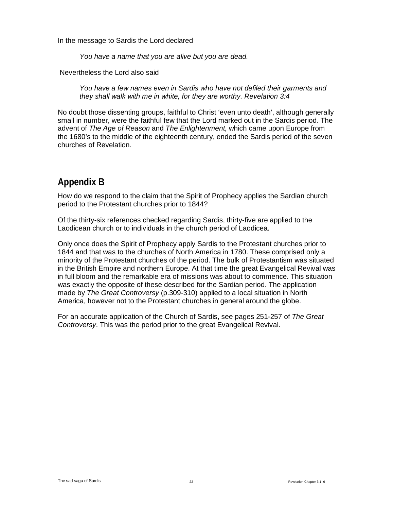In the message to Sardis the Lord declared

*You have a name that you are alive but you are dead.*

Nevertheless the Lord also said

*You have a few names even in Sardis who have not defiled their garments and they shall walk with me in white, for they are worthy. Revelation 3:4*

No doubt those dissenting groups, faithful to Christ 'even unto death', although generally small in number, were the faithful few that the Lord marked out in the Sardis period. The advent of *The Age of Reason* and *The Enlightenment,* which came upon Europe from the 1680's to the middle of the eighteenth century, ended the Sardis period of the seven churches of Revelation.

## <span id="page-21-0"></span>**Appendix B**

How do we respond to the claim that the Spirit of Prophecy applies the Sardian church period to the Protestant churches prior to 1844?

Of the thirty-six references checked regarding Sardis, thirty-five are applied to the Laodicean church or to individuals in the church period of Laodicea.

Only once does the Spirit of Prophecy apply Sardis to the Protestant churches prior to 1844 and that was to the churches of North America in 1780. These comprised only a minority of the Protestant churches of the period. The bulk of Protestantism was situated in the British Empire and northern Europe. At that time the great Evangelical Revival was in full bloom and the remarkable era of missions was about to commence. This situation was exactly the opposite of these described for the Sardian period. The application made by *The Great Controversy* (p.309-310) applied to a local situation in North America, however not to the Protestant churches in general around the globe.

For an accurate application of the Church of Sardis, see pages 251-257 of *The Great Controversy*. This was the period prior to the great Evangelical Revival.